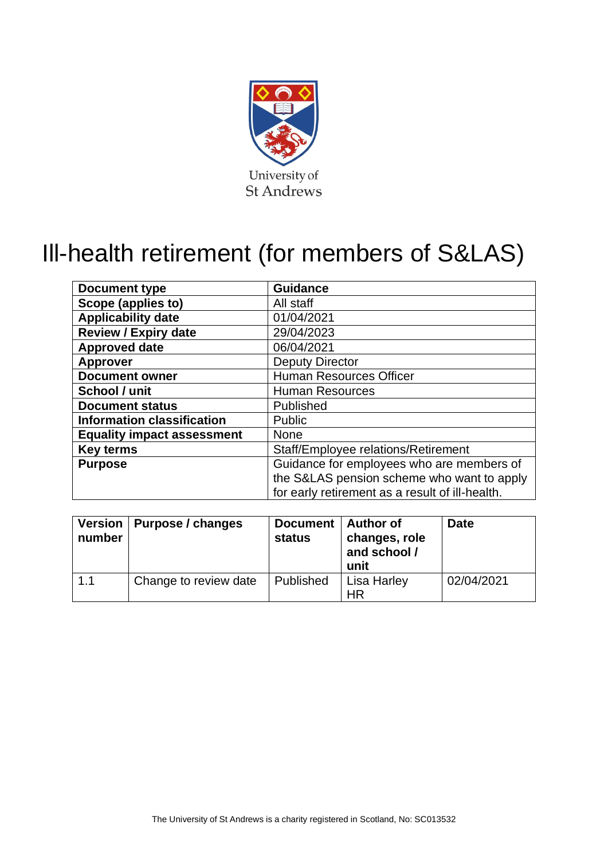

# Ill-health retirement (for members of S&LAS)

| <b>Document type</b>              | <b>Guidance</b>                                 |  |
|-----------------------------------|-------------------------------------------------|--|
| Scope (applies to)                | All staff                                       |  |
| <b>Applicability date</b>         | 01/04/2021                                      |  |
| <b>Review / Expiry date</b>       | 29/04/2023                                      |  |
| <b>Approved date</b>              | 06/04/2021                                      |  |
| <b>Approver</b>                   | <b>Deputy Director</b>                          |  |
| <b>Document owner</b>             | <b>Human Resources Officer</b>                  |  |
| School / unit                     | <b>Human Resources</b>                          |  |
| <b>Document status</b>            | Published                                       |  |
| <b>Information classification</b> | Public                                          |  |
| <b>Equality impact assessment</b> | <b>None</b>                                     |  |
| <b>Key terms</b>                  | Staff/Employee relations/Retirement             |  |
| <b>Purpose</b>                    | Guidance for employees who are members of       |  |
|                                   | the S&LAS pension scheme who want to apply      |  |
|                                   | for early retirement as a result of ill-health. |  |

| <b>Version</b><br>number | Purpose / changes     | Document   Author of<br>status | changes, role<br>and school /<br>unit | <b>Date</b> |
|--------------------------|-----------------------|--------------------------------|---------------------------------------|-------------|
| 1.1                      | Change to review date | Published                      | Lisa Harley<br><b>HR</b>              | 02/04/2021  |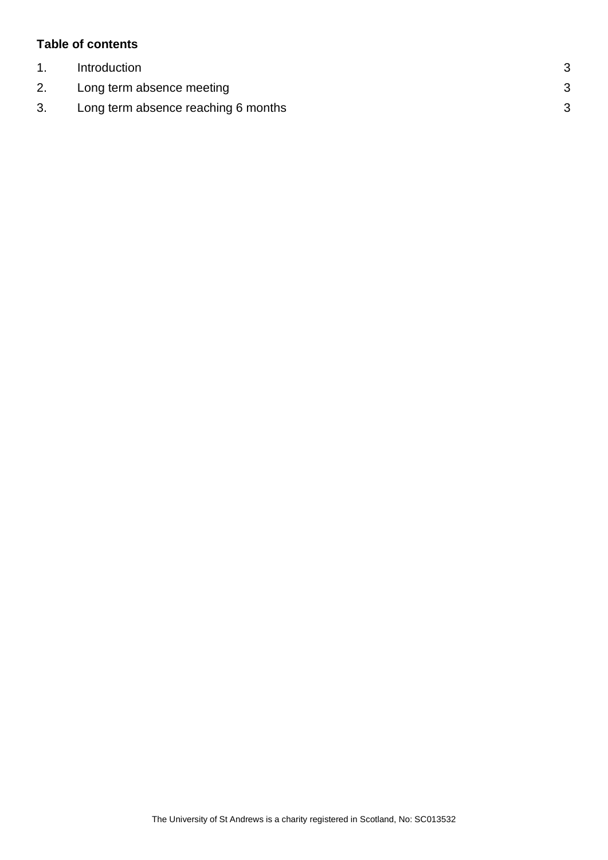## **Table of contents**

| Introduction                        |  |
|-------------------------------------|--|
| Long term absence meeting           |  |
| Long term absence reaching 6 months |  |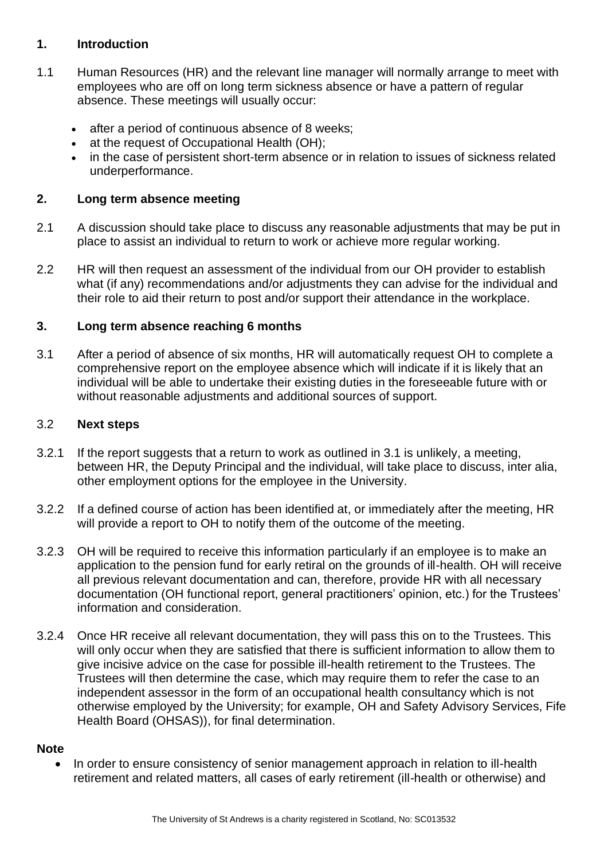### <span id="page-2-0"></span>**1. Introduction**

- 1.1 Human Resources (HR) and the relevant line manager will normally arrange to meet with employees who are off on long term sickness absence or have a pattern of regular absence. These meetings will usually occur:
	- after a period of continuous absence of 8 weeks;
	- at the request of Occupational Health (OH):
	- in the case of persistent short-term absence or in relation to issues of sickness related underperformance.

#### <span id="page-2-1"></span>**2. Long term absence meeting**

- 2.1 A discussion should take place to discuss any reasonable adjustments that may be put in place to assist an individual to return to work or achieve more regular working.
- 2.2 HR will then request an assessment of the individual from our OH provider to establish what (if any) recommendations and/or adjustments they can advise for the individual and their role to aid their return to post and/or support their attendance in the workplace.

### <span id="page-2-2"></span>**3. Long term absence reaching 6 months**

3.1 After a period of absence of six months, HR will automatically request OH to complete a comprehensive report on the employee absence which will indicate if it is likely that an individual will be able to undertake their existing duties in the foreseeable future with or without reasonable adjustments and additional sources of support.

#### 3.2 **Next steps**

- 3.2.1 If the report suggests that a return to work as outlined in 3.1 is unlikely, a meeting, between HR, the Deputy Principal and the individual, will take place to discuss, inter alia, other employment options for the employee in the University.
- 3.2.2 If a defined course of action has been identified at, or immediately after the meeting, HR will provide a report to OH to notify them of the outcome of the meeting.
- 3.2.3 OH will be required to receive this information particularly if an employee is to make an application to the pension fund for early retiral on the grounds of ill-health. OH will receive all previous relevant documentation and can, therefore, provide HR with all necessary documentation (OH functional report, general practitioners' opinion, etc.) for the Trustees' information and consideration.
- 3.2.4 Once HR receive all relevant documentation, they will pass this on to the Trustees. This will only occur when they are satisfied that there is sufficient information to allow them to give incisive advice on the case for possible ill-health retirement to the Trustees. The Trustees will then determine the case, which may require them to refer the case to an independent assessor in the form of an occupational health consultancy which is not otherwise employed by the University; for example, OH and Safety Advisory Services, Fife Health Board (OHSAS)), for final determination.

#### **Note**

In order to ensure consistency of senior management approach in relation to ill-health retirement and related matters, all cases of early retirement (ill-health or otherwise) and